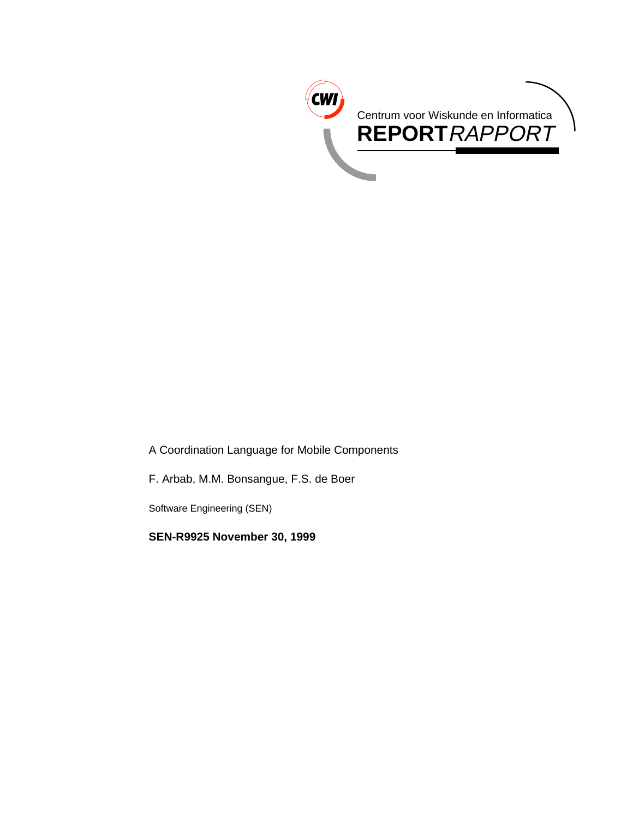

A Coordination Language for Mobile Components

F. Arbab, M.M. Bonsangue, F.S. de Boer

Software Engineering (SEN)

**SEN-R9925 November 30, 1999**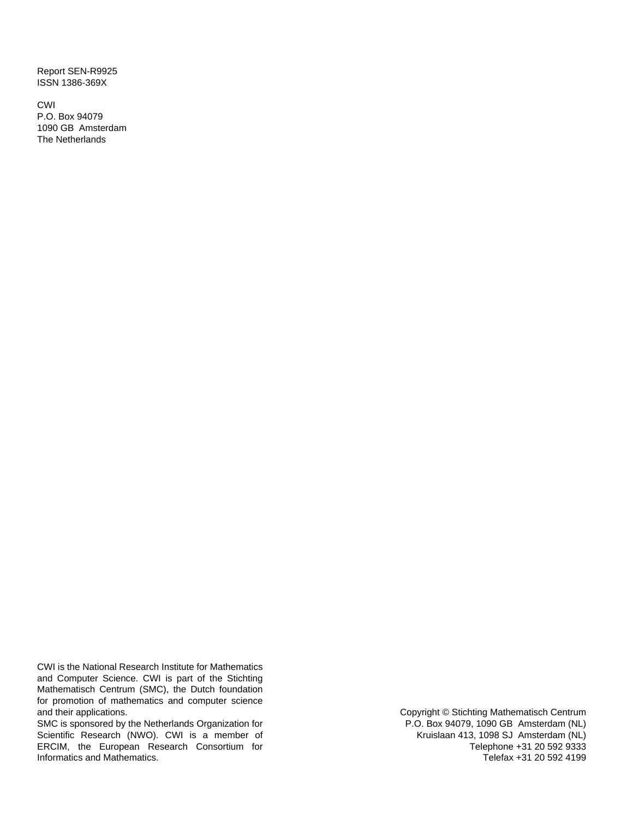Report SEN-R9925 ISSN 1386-369X

CWI P.O. Box 94079 1090 GB Amsterdam The Netherlands

CWI is the National Research Institute for Mathematics and Computer Science. CWI is part of the Stichting Mathematisch Centrum (SMC), the Dutch foundation for promotion of mathematics and computer science and their applications.

SMC is sponsored by the Netherlands Organization for Scientific Research (NWO). CWI is a member of ERCIM, the European Research Consortium for Informatics and Mathematics.

Copyright © Stichting Mathematisch Centrum P.O. Box 94079, 1090 GB Amsterdam (NL) Kruislaan 413, 1098 SJ Amsterdam (NL) Telephone +31 20 592 9333 Telefax +31 20 592 4199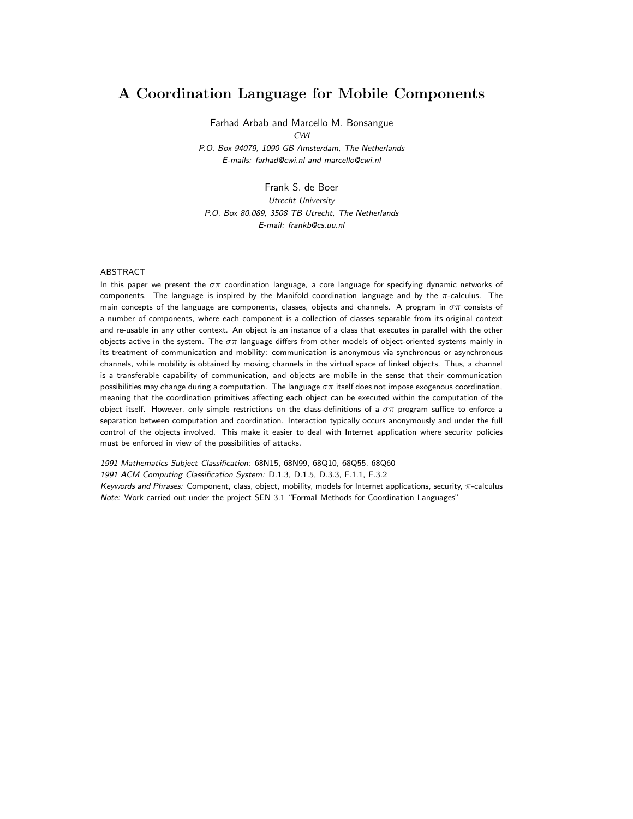# **A Coordination Language for Mobile Components**

Farhad Arbab and Marcello M. Bonsangue  $C$ <sub>M</sub> $/$ 

P.O. Box 94079, 1090 GB Amsterdam, The Netherlands E-mails: farhad@cwi.nl and marcello@cwi.nl

Frank S. de Boer Utrecht University P.O. Box 80.089, 3508 TB Utrecht, The Netherlands E-mail: frankb@cs.uu.nl

#### ABSTRACT

In this paper we present the  $\sigma\pi$  coordination language, a core language for specifying dynamic networks of components. The language is inspired by the Manifold coordination language and by the  $\pi$ -calculus. The main concepts of the language are components, classes, objects and channels. A program in  $\sigma\pi$  consists of a number of components, where each component is a collection of classes separable from its original context and re-usable in any other context. An object is an instance of a class that executes in parallel with the other objects active in the system. The  $\sigma\pi$  language differs from other models of object-oriented systems mainly in its treatment of communication and mobility: communication is anonymous via synchronous or asynchronous channels, while mobility is obtained by moving channels in the virtual space of linked objects. Thus, a channel is a transferable capability of communication, and objects are mobile in the sense that their communication possibilities may change during a computation. The language  $\sigma\pi$  itself does not impose exogenous coordination, meaning that the coordination primitives affecting each object can be executed within the computation of the object itself. However, only simple restrictions on the class-definitions of a  $\sigma\pi$  program suffice to enforce a separation between computation and coordination. Interaction typically occurs anonymously and under the full control of the objects involved. This make it easier to deal with Internet application where security policies must be enforced in view of the possibilities of attacks.

1991 Mathematics Subject Classification: 68N15, 68N99, 68Q10, 68Q55, 68Q60

1991 ACM Computing Classification System: D.1.3, D.1.5, D.3.3, F.1.1, F.3.2

Keywords and Phrases: Component, class, object, mobility, models for Internet applications, security, π-calculus Note: Work carried out under the project SEN 3.1 "Formal Methods for Coordination Languages"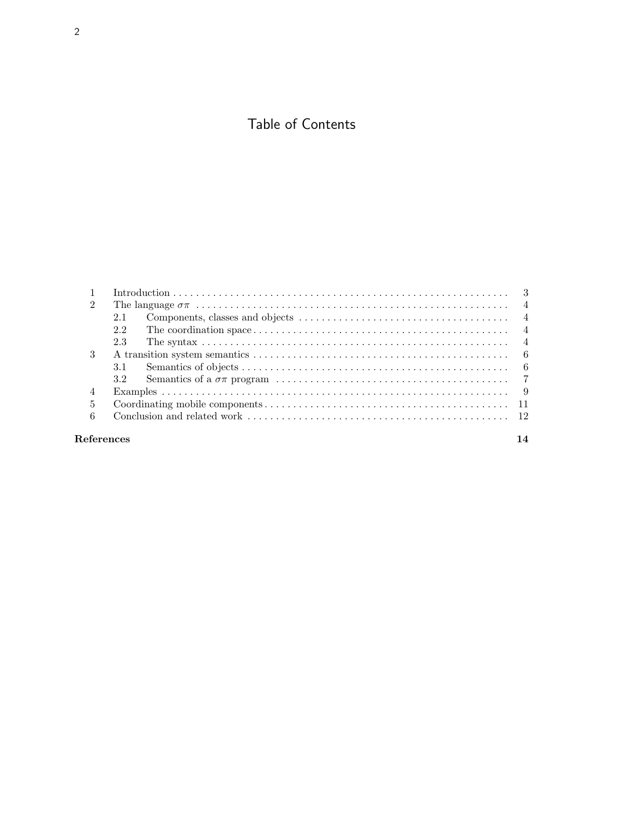# Table of Contents

| $\overline{1}$ |     |  |
|----------------|-----|--|
| 2              |     |  |
|                | 2.1 |  |
|                | 2.2 |  |
|                | 2.3 |  |
| $\mathcal{R}$  |     |  |
|                | 3.1 |  |
|                | 3.2 |  |
| $\overline{4}$ |     |  |
| $5^{\circ}$    |     |  |
| -6             |     |  |
|                |     |  |

**References 14**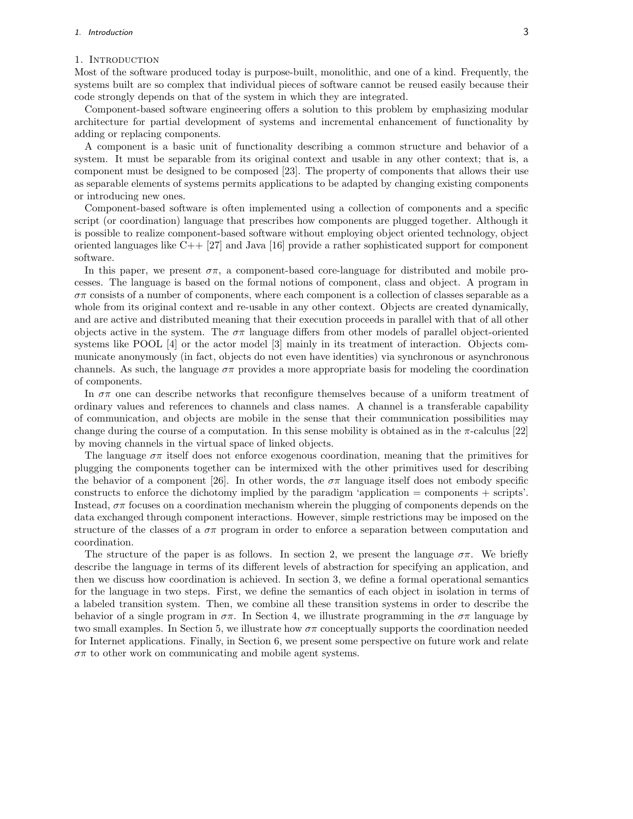#### 1. INTRODUCTION

Most of the software produced today is purpose-built, monolithic, and one of a kind. Frequently, the systems built are so complex that individual pieces of software cannot be reused easily because their code strongly depends on that of the system in which they are integrated.

Component-based software engineering offers a solution to this problem by emphasizing modular architecture for partial development of systems and incremental enhancement of functionality by adding or replacing components.

A component is a basic unit of functionality describing a common structure and behavior of a system. It must be separable from its original context and usable in any other context; that is, a component must be designed to be composed [23]. The property of components that allows their use as separable elements of systems permits applications to be adapted by changing existing components or introducing new ones.

Component-based software is often implemented using a collection of components and a specific script (or coordination) language that prescribes how components are plugged together. Although it is possible to realize component-based software without employing object oriented technology, object oriented languages like  $C_{++}$  [27] and Java [16] provide a rather sophisticated support for component software.

In this paper, we present  $\sigma\pi$ , a component-based core-language for distributed and mobile processes. The language is based on the formal notions of component, class and object. A program in  $\sigma\pi$  consists of a number of components, where each component is a collection of classes separable as a whole from its original context and re-usable in any other context. Objects are created dynamically, and are active and distributed meaning that their execution proceeds in parallel with that of all other objects active in the system. The  $\sigma\pi$  language differs from other models of parallel object-oriented systems like POOL [4] or the actor model [3] mainly in its treatment of interaction. Objects communicate anonymously (in fact, objects do not even have identities) via synchronous or asynchronous channels. As such, the language  $\sigma\pi$  provides a more appropriate basis for modeling the coordination of components.

In  $\sigma\pi$  one can describe networks that reconfigure themselves because of a uniform treatment of ordinary values and references to channels and class names. A channel is a transferable capability of communication, and objects are mobile in the sense that their communication possibilities may change during the course of a computation. In this sense mobility is obtained as in the  $\pi$ -calculus [22] by moving channels in the virtual space of linked objects.

The language  $\sigma\pi$  itself does not enforce exogenous coordination, meaning that the primitives for plugging the components together can be intermixed with the other primitives used for describing the behavior of a component [26]. In other words, the  $\sigma\pi$  language itself does not embody specific constructs to enforce the dichotomy implied by the paradigm 'application = components + scripts'. Instead,  $\sigma\pi$  focuses on a coordination mechanism wherein the plugging of components depends on the data exchanged through component interactions. However, simple restrictions may be imposed on the structure of the classes of a  $\sigma\pi$  program in order to enforce a separation between computation and coordination.

The structure of the paper is as follows. In section 2, we present the language  $\sigma\pi$ . We briefly describe the language in terms of its different levels of abstraction for specifying an application, and then we discuss how coordination is achieved. In section 3, we define a formal operational semantics for the language in two steps. First, we define the semantics of each object in isolation in terms of a labeled transition system. Then, we combine all these transition systems in order to describe the behavior of a single program in  $\sigma\pi$ . In Section 4, we illustrate programming in the  $\sigma\pi$  language by two small examples. In Section 5, we illustrate how  $\sigma\pi$  conceptually supports the coordination needed for Internet applications. Finally, in Section 6, we present some perspective on future work and relate  $\sigma\pi$  to other work on communicating and mobile agent systems.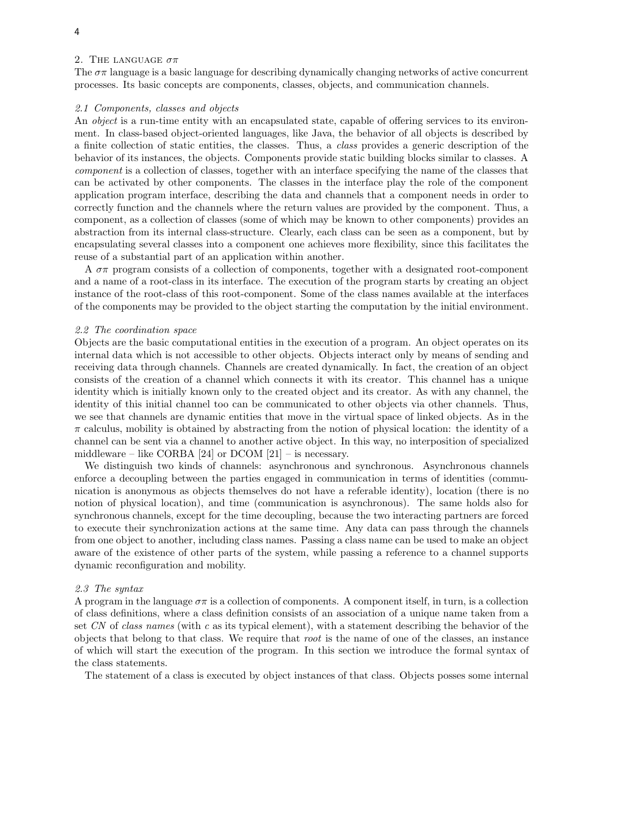# 2. THE LANGUAGE  $\sigma\pi$

The  $\sigma\pi$  language is a basic language for describing dynamically changing networks of active concurrent processes. Its basic concepts are components, classes, objects, and communication channels.

#### 2.1 Components, classes and objects

An object is a run-time entity with an encapsulated state, capable of offering services to its environment. In class-based object-oriented languages, like Java, the behavior of all objects is described by a finite collection of static entities, the classes. Thus, a class provides a generic description of the behavior of its instances, the objects. Components provide static building blocks similar to classes. A component is a collection of classes, together with an interface specifying the name of the classes that can be activated by other components. The classes in the interface play the role of the component application program interface, describing the data and channels that a component needs in order to correctly function and the channels where the return values are provided by the component. Thus, a component, as a collection of classes (some of which may be known to other components) provides an abstraction from its internal class-structure. Clearly, each class can be seen as a component, but by encapsulating several classes into a component one achieves more flexibility, since this facilitates the reuse of a substantial part of an application within another.

A  $\sigma\pi$  program consists of a collection of components, together with a designated root-component and a name of a root-class in its interface. The execution of the program starts by creating an object instance of the root-class of this root-component. Some of the class names available at the interfaces of the components may be provided to the object starting the computation by the initial environment.

#### 2.2 The coordination space

Objects are the basic computational entities in the execution of a program. An object operates on its internal data which is not accessible to other objects. Objects interact only by means of sending and receiving data through channels. Channels are created dynamically. In fact, the creation of an object consists of the creation of a channel which connects it with its creator. This channel has a unique identity which is initially known only to the created object and its creator. As with any channel, the identity of this initial channel too can be communicated to other objects via other channels. Thus, we see that channels are dynamic entities that move in the virtual space of linked objects. As in the  $\pi$  calculus, mobility is obtained by abstracting from the notion of physical location: the identity of a channel can be sent via a channel to another active object. In this way, no interposition of specialized middleware – like CORBA  $[24]$  or DCOM  $[21]$  – is necessary.

We distinguish two kinds of channels: asynchronous and synchronous. Asynchronous channels enforce a decoupling between the parties engaged in communication in terms of identities (communication is anonymous as objects themselves do not have a referable identity), location (there is no notion of physical location), and time (communication is asynchronous). The same holds also for synchronous channels, except for the time decoupling, because the two interacting partners are forced to execute their synchronization actions at the same time. Any data can pass through the channels from one object to another, including class names. Passing a class name can be used to make an object aware of the existence of other parts of the system, while passing a reference to a channel supports dynamic reconfiguration and mobility.

#### 2.3 The syntax

A program in the language  $\sigma \pi$  is a collection of components. A component itself, in turn, is a collection of class definitions, where a class definition consists of an association of a unique name taken from a set CN of class names (with c as its typical element), with a statement describing the behavior of the objects that belong to that class. We require that root is the name of one of the classes, an instance of which will start the execution of the program. In this section we introduce the formal syntax of the class statements.

The statement of a class is executed by object instances of that class. Objects posses some internal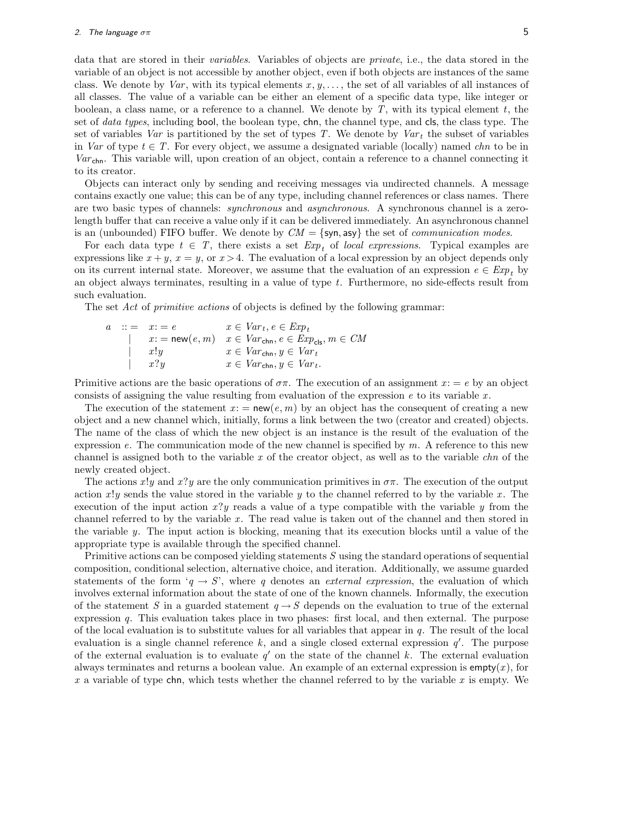data that are stored in their variables. Variables of objects are private, i.e., the data stored in the variable of an object is not accessible by another object, even if both objects are instances of the same class. We denote by Var, with its typical elements  $x, y, \ldots$ , the set of all variables of all instances of all classes. The value of a variable can be either an element of a specific data type, like integer or boolean, a class name, or a reference to a channel. We denote by  $T$ , with its typical element  $t$ , the set of *data types*, including bool, the boolean type, chn, the channel type, and cls, the class type. The set of variables Var is partitioned by the set of types T. We denote by  $Var_t$  the subset of variables in Var of type  $t \in T$ . For every object, we assume a designated variable (locally) named *chn* to be in  $Var<sub>chn</sub>$ . This variable will, upon creation of an object, contain a reference to a channel connecting it to its creator.

Objects can interact only by sending and receiving messages via undirected channels. A message contains exactly one value; this can be of any type, including channel references or class names. There are two basic types of channels: synchronous and asynchronous. A synchronous channel is a zerolength buffer that can receive a value only if it can be delivered immediately. An asynchronous channel is an (unbounded) FIFO buffer. We denote by CM = *{*syn, asy*}* the set of communication modes.

For each data type  $t \in T$ , there exists a set  $Exp_t$  of local expressions. Typical examples are expressions like  $x + y$ ,  $x = y$ , or  $x > 4$ . The evaluation of a local expression by an object depends only on its current internal state. Moreover, we assume that the evaluation of an expression  $e \in Exp_t$  by an object always terminates, resulting in a value of type t. Furthermore, no side-effects result from such evaluation.

The set Act of *primitive actions* of objects is defined by the following grammar:

 $a : := x := e$   $x \in Var_t, e \in Exp_t$ *|*  $x$  : = new(*e*, *m*)  $x \in Var_{\text{chn}}$ ,  $e \in Exp_{\text{cls}}$ ,  $m \in CM$ *| x*!*y*  $x \in Var_{\text{chn}}$ , *y*  $\in Var_t$  $|x|^2 y$   $x \in Var_{\text{chn}}, y \in Var_t.$ 

Primitive actions are the basic operations of  $\sigma \pi$ . The execution of an assignment  $x = e$  by an object consists of assigning the value resulting from evaluation of the expression  $e$  to its variable x.

The execution of the statement  $x = new(e, m)$  by an object has the consequent of creating a new object and a new channel which, initially, forms a link between the two (creator and created) objects. The name of the class of which the new object is an instance is the result of the evaluation of the expression  $e$ . The communication mode of the new channel is specified by  $m$ . A reference to this new channel is assigned both to the variable x of the creator object, as well as to the variable chn of the newly created object.

The actions x!y and x?y are the only communication primitives in  $\sigma\pi$ . The execution of the output action  $x!y$  sends the value stored in the variable y to the channel referred to by the variable x. The execution of the input action  $x$ ? y reads a value of a type compatible with the variable y from the channel referred to by the variable  $x$ . The read value is taken out of the channel and then stored in the variable y. The input action is blocking, meaning that its execution blocks until a value of the appropriate type is available through the specified channel.

Primitive actions can be composed yielding statements S using the standard operations of sequential composition, conditional selection, alternative choice, and iteration. Additionally, we assume guarded statements of the form ' $q \rightarrow S'$ , where q denotes an *external expression*, the evaluation of which involves external information about the state of one of the known channels. Informally, the execution of the statement S in a guarded statement  $q \rightarrow S$  depends on the evaluation to true of the external expression q. This evaluation takes place in two phases: first local, and then external. The purpose of the local evaluation is to substitute values for all variables that appear in  $q$ . The result of the local evaluation is a single channel reference k, and a single closed external expression  $q'$ . The purpose of the external evaluation is to evaluate  $q'$  on the state of the channel k. The external evaluation always terminates and returns a boolean value. An example of an external expression is  $\mathsf{empty}(x)$ , for x a variable of type chn, which tests whether the channel referred to by the variable x is empty. We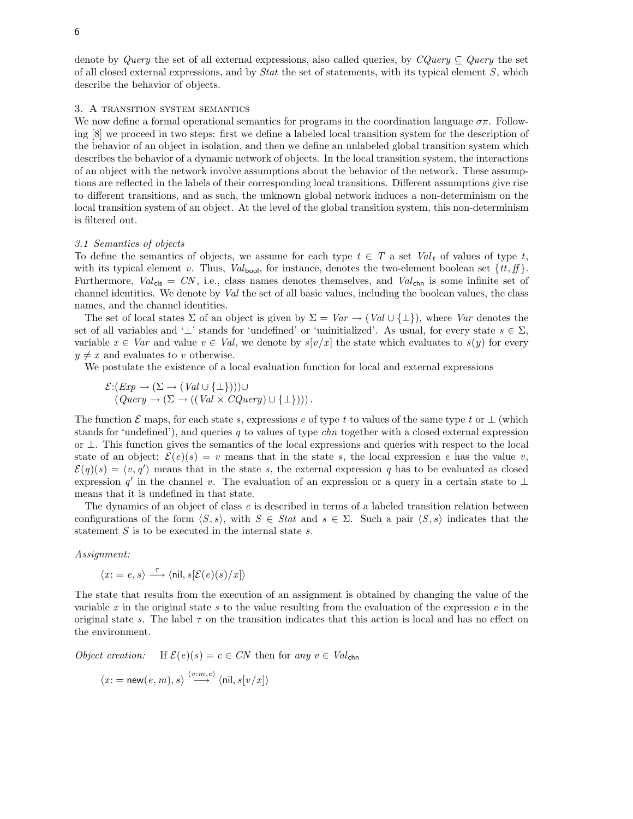denote by Query the set of all external expressions, also called queries, by  $CQuery \subseteq Query$  the set of all closed external expressions, and by Stat the set of statements, with its typical element S, which describe the behavior of objects.

# 3. A transition system semantics

We now define a formal operational semantics for programs in the coordination language  $\sigma\pi$ . Following [8] we proceed in two steps: first we define a labeled local transition system for the description of the behavior of an object in isolation, and then we define an unlabeled global transition system which describes the behavior of a dynamic network of objects. In the local transition system, the interactions of an object with the network involve assumptions about the behavior of the network. These assumptions are reflected in the labels of their corresponding local transitions. Different assumptions give rise to different transitions, and as such, the unknown global network induces a non-determinism on the local transition system of an object. At the level of the global transition system, this non-determinism is filtered out.

# 3.1 Semantics of objects

To define the semantics of objects, we assume for each type  $t \in T$  a set Val<sub>t</sub> of values of type t, with its typical element v. Thus,  $Val_{bool}$ , for instance, denotes the two-element boolean set  $\{tt, ff\}$ . Furthermore,  $Val_{cls} = CN$ , i.e., class names denotes themselves, and  $Val_{chn}$  is some infinite set of channel identities. We denote by Val the set of all basic values, including the boolean values, the class names, and the channel identities.

The set of local states  $\Sigma$  of an object is given by  $\Sigma = Var \rightarrow (Val \cup {\perp})$ , where Var denotes the set of all variables and ' $\perp$ ' stands for 'undefined' or 'uninitialized'. As usual, for every state  $s \in \Sigma$ , variable  $x \in Var$  and value  $v \in Val$ , we denote by  $s[v/x]$  the state which evaluates to  $s(y)$  for every  $y \neq x$  and evaluates to v otherwise.

We postulate the existence of a local evaluation function for local and external expressions

$$
\mathcal{E}: (Exp \to (\Sigma \to (Val \cup \{\bot\}))) \cup (Query \to (\Sigma \to ((Val \times CQuery) \cup \{\bot\}))).
$$

The function  $\mathcal E$  maps, for each state s, expressions e of type t to values of the same type t or  $\perp$  (which stands for 'undefined'), and queries  $q$  to values of type *chn* together with a closed external expression or *⊥*. This function gives the semantics of the local expressions and queries with respect to the local state of an object:  $\mathcal{E}(e)(s) = v$  means that in the state s, the local expression e has the value v,  $\mathcal{E}(q)(s) = \langle v, q' \rangle$  means that in the state s, the external expression q has to be evaluated as closed expression q*<sup>0</sup>* in the channel v. The evaluation of an expression or a query in a certain state to *⊥* means that it is undefined in that state.

The dynamics of an object of class  $c$  is described in terms of a labeled transition relation between configurations of the form  $\langle S, s \rangle$ , with  $S \in \text{Stat}$  and  $s \in \Sigma$ . Such a pair  $\langle S, s \rangle$  indicates that the statement  $S$  is to be executed in the internal state  $s$ .

Assignment:

 $\langle x : = e, s \rangle \stackrel{\tau}{\longrightarrow} \langle \text{nil}, s[\mathcal{E}(e)(s)/x] \rangle$ 

The state that results from the execution of an assignment is obtained by changing the value of the variable x in the original state s to the value resulting from the evaluation of the expression  $e$  in the original state s. The label  $\tau$  on the transition indicates that this action is local and has no effect on the environment.

*Object creation:* If  $\mathcal{E}(e)(s) = c \in CN$  then for any  $v \in Val_{\text{chn}}$ 

$$
\langle x\mathpunct{:}=\mathsf{new}(e,m),s\rangle\xrightarrow{\langle v\mathpunct{:}m,c\rangle}\langle \mathsf{nil},s[v/x]\rangle
$$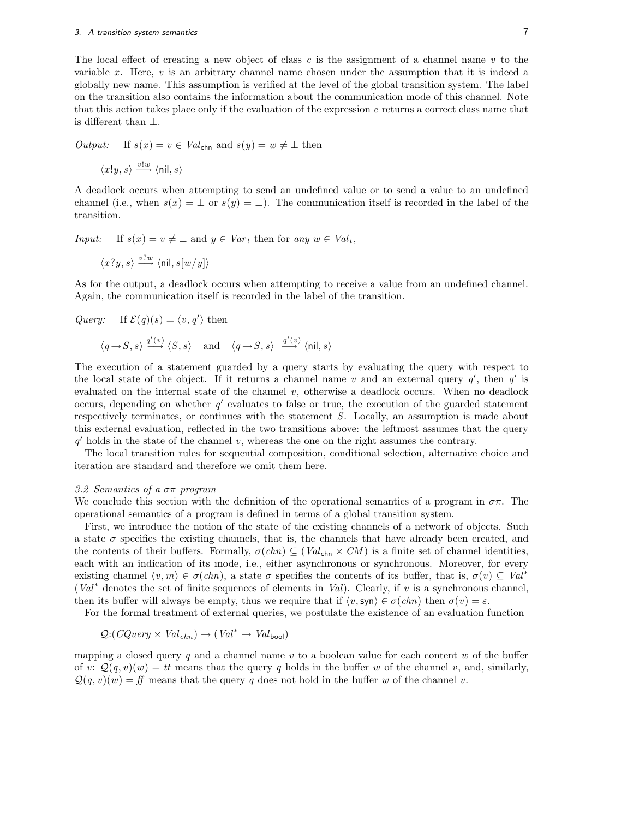The local effect of creating a new object of class c is the assignment of a channel name  $v$  to the variable x. Here,  $v$  is an arbitrary channel name chosen under the assumption that it is indeed a globally new name. This assumption is verified at the level of the global transition system. The label on the transition also contains the information about the communication mode of this channel. Note that this action takes place only if the evaluation of the expression e returns a correct class name that is different than *⊥*.

Output: If  $s(x) = v \in Val_{\text{chn}}$  and  $s(y) = w \neq \bot$  then

$$
\langle x!y, s \rangle \xrightarrow{v!w} \langle \text{nil}, s \rangle
$$

A deadlock occurs when attempting to send an undefined value or to send a value to an undefined channel (i.e., when  $s(x) = \perp$  or  $s(y) = \perp$ ). The communication itself is recorded in the label of the transition.

*Input:* If  $s(x) = v \neq \bot$  and  $y \in Var_t$  then for any  $w \in Val_t$ ,

 $\langle x$  ?*y*, *s*<sup>*j*</sup>  $\longrightarrow$   $\longrightarrow$   $\langle$ nil, *s*[*w*/*y*] $\rangle$ 

As for the output, a deadlock occurs when attempting to receive a value from an undefined channel. Again, the communication itself is recorded in the label of the transition.

*Query*: If 
$$
\mathcal{E}(q)(s) = \langle v, q' \rangle
$$
 then

$$
\langle q\mathop{\rightarrow}\limits S,s\rangle\stackrel{q'(v)}{\longrightarrow}\langle S,s\rangle\quad\text{and}\quad\langle q\mathop{\rightarrow}\limits S,s\rangle\stackrel{\neg q'(v)}{\longrightarrow}\langle \mathsf{nil},s\rangle
$$

The execution of a statement guarded by a query starts by evaluating the query with respect to the local state of the object. If it returns a channel name v and an external query  $q'$ , then  $q'$  is evaluated on the internal state of the channel  $v$ , otherwise a deadlock occurs. When no deadlock occurs, depending on whether  $q'$  evaluates to false or true, the execution of the guarded statement respectively terminates, or continues with the statement  $S$ . Locally, an assumption is made about this external evaluation, reflected in the two transitions above: the leftmost assumes that the query  $q'$  holds in the state of the channel v, whereas the one on the right assumes the contrary.

The local transition rules for sequential composition, conditional selection, alternative choice and iteration are standard and therefore we omit them here.

# 3.2 Semantics of a σπ program

We conclude this section with the definition of the operational semantics of a program in  $\sigma\pi$ . The operational semantics of a program is defined in terms of a global transition system.

First, we introduce the notion of the state of the existing channels of a network of objects. Such a state  $\sigma$  specifies the existing channels, that is, the channels that have already been created, and the contents of their buffers. Formally,  $\sigma(chn) \subseteq (Val_{chn} \times CM)$  is a finite set of channel identities, each with an indication of its mode, i.e., either asynchronous or synchronous. Moreover, for every existing channel  $\langle v, m \rangle \in \sigma(chn)$ , a state  $\sigma$  specifies the contents of its buffer, that is,  $\sigma(v) \subseteq Val^*$  $(Val^*$  denotes the set of finite sequences of elements in *Val*). Clearly, if v is a synchronous channel, then its buffer will always be empty, thus we require that if  $\langle v, \mathsf{syn} \rangle \in \sigma(\mathit{chn})$  then  $\sigma(v) = \varepsilon$ .

For the formal treatment of external queries, we postulate the existence of an evaluation function

$$
Q: (CQuery \times Val_{chn}) \rightarrow (Val^* \rightarrow Val_{bool})
$$

mapping a closed query q and a channel name  $v$  to a boolean value for each content  $w$  of the buffer of v:  $Q(q, v)(w) = tt$  means that the query q holds in the buffer w of the channel v, and, similarly,  $Q(q, v)(w) = ff$  means that the query q does not hold in the buffer w of the channel v.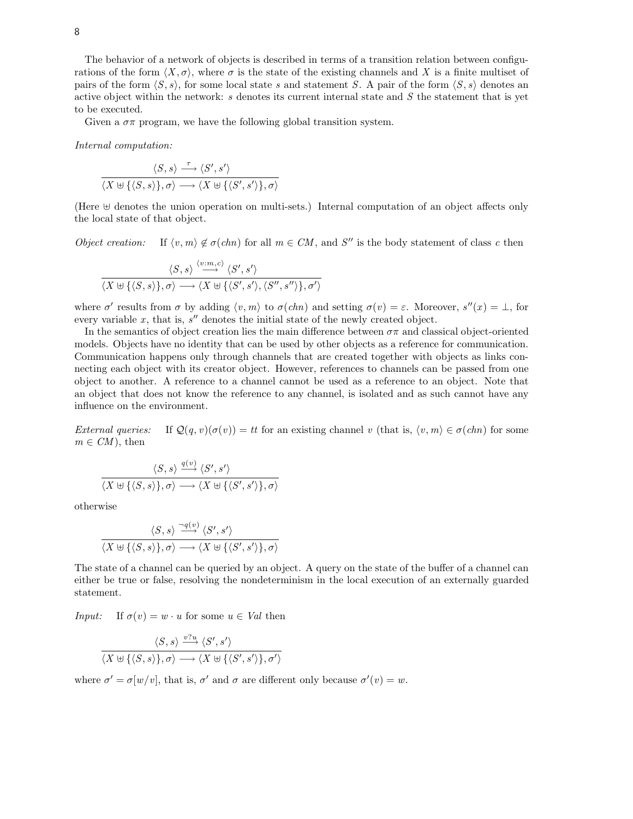The behavior of a network of objects is described in terms of a transition relation between configurations of the form  $\langle X, \sigma \rangle$ , where  $\sigma$  is the state of the existing channels and X is a finite multiset of pairs of the form  $\langle S, s \rangle$ , for some local state s and statement S. A pair of the form  $\langle S, s \rangle$  denotes an active object within the network:  $s$  denotes its current internal state and  $S$  the statement that is yet to be executed.

Given a  $\sigma\pi$  program, we have the following global transition system.

Internal computation:

$$
\frac{\langle S, s \rangle \xrightarrow{\tau} \langle S', s' \rangle}{\langle X \uplus \{ \langle S, s \rangle \}, \sigma \rangle \longrightarrow \langle X \uplus \{ \langle S', s' \rangle \}, \sigma \rangle}
$$

(Here  $\uplus$  denotes the union operation on multi-sets.) Internal computation of an object affects only the local state of that object.

*Object creation:* If  $\langle v, m \rangle \notin \sigma(\text{chn})$  for all  $m \in CM$ , and S'' is the body statement of class c then

$$
\xrightarrow{\langle S, s \rangle} \xrightarrow{\langle v : m, c \rangle} \langle S', s' \rangle
$$

$$
\overline{\langle X \uplus \{ \langle S, s \rangle \}, \sigma \rangle} \longrightarrow \overline{\langle X \uplus \{ \langle S', s' \rangle, \langle S'', s'' \rangle \}, \sigma' \rangle}
$$

where  $\sigma'$  results from  $\sigma$  by adding  $\langle v, m \rangle$  to  $\sigma(chn)$  and setting  $\sigma(v) = \varepsilon$ . Moreover,  $s''(x) = \bot$ , for every variable  $x$ , that is,  $s''$  denotes the initial state of the newly created object.

In the semantics of object creation lies the main difference between  $\sigma\pi$  and classical object-oriented models. Objects have no identity that can be used by other objects as a reference for communication. Communication happens only through channels that are created together with objects as links connecting each object with its creator object. However, references to channels can be passed from one object to another. A reference to a channel cannot be used as a reference to an object. Note that an object that does not know the reference to any channel, is isolated and as such cannot have any influence on the environment.

External queries: If  $\mathcal{Q}(q, v)(\sigma(v)) = tt$  for an existing channel v (that is,  $\langle v, m \rangle \in \sigma(chn)$  for some  $m \in CM$ , then

$$
\langle S, s \rangle \xrightarrow{q(v)} \langle S', s' \rangle
$$

$$
\langle X \uplus \{ \langle S, s \rangle \}, \sigma \rangle \longrightarrow \langle X \uplus \{ \langle S', s' \rangle \}, \sigma \rangle
$$

otherwise

$$
\langle S, s \rangle \stackrel{\neg q(v)}{\longrightarrow} \langle S', s' \rangle
$$

$$
\langle X \uplus \{ \langle S, s \rangle \}, \sigma \rangle \longrightarrow \langle X \uplus \{ \langle S', s' \rangle \}, \sigma \rangle
$$

The state of a channel can be queried by an object. A query on the state of the buffer of a channel can either be true or false, resolving the nondeterminism in the local execution of an externally guarded statement.

*Input:* If  $\sigma(v) = w \cdot u$  for some  $u \in Val$  then

$$
\frac{\langle S, s \rangle \xrightarrow{v?u} \langle S', s' \rangle}{\langle X \uplus \{ \langle S, s \rangle \}, \sigma \rangle \longrightarrow \langle X \uplus \{ \langle S', s' \rangle \}, \sigma' \rangle}
$$

where  $\sigma' = \sigma[w/v]$ , that is,  $\sigma'$  and  $\sigma$  are different only because  $\sigma'(v) = w$ .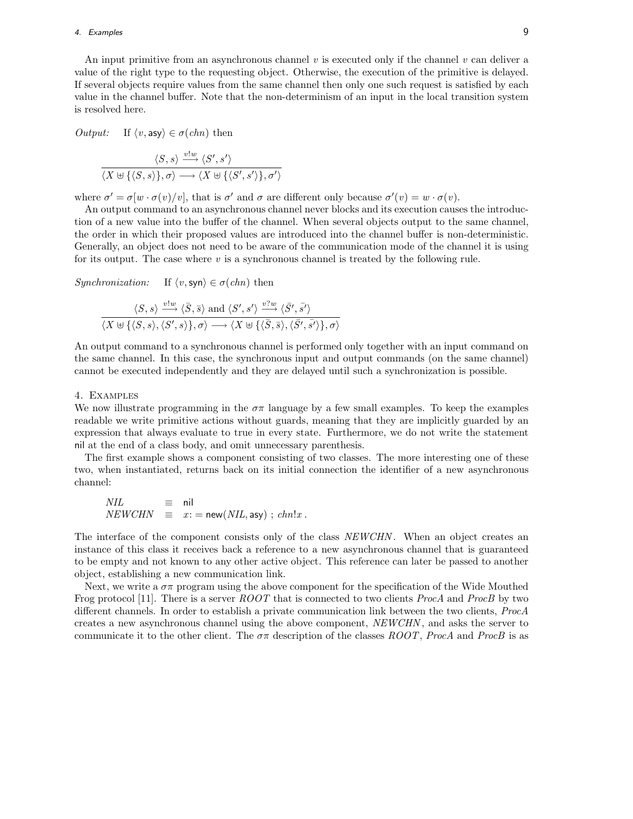# 4. Examples 9

An input primitive from an asynchronous channel  $v$  is executed only if the channel  $v$  can deliver a value of the right type to the requesting object. Otherwise, the execution of the primitive is delayed. If several objects require values from the same channel then only one such request is satisfied by each value in the channel buffer. Note that the non-determinism of an input in the local transition system is resolved here.

*Output:* If  $\langle v, \text{asy} \rangle \in \sigma(\text{chn})$  then

$$
\frac{\langle S, s \rangle \xrightarrow{v \downarrow w} \langle S', s' \rangle}{\langle X \uplus \{ \langle S, s \rangle \}, \sigma \rangle \longrightarrow \langle X \uplus \{ \langle S', s' \rangle \}, \sigma' \rangle}
$$

where  $\sigma' = \sigma[w \cdot \sigma(v)/v]$ , that is  $\sigma'$  and  $\sigma$  are different only because  $\sigma'(v) = w \cdot \sigma(v)$ .

An output command to an asynchronous channel never blocks and its execution causes the introduction of a new value into the buffer of the channel. When several objects output to the same channel, the order in which their proposed values are introduced into the channel buffer is non-deterministic. Generally, an object does not need to be aware of the communication mode of the channel it is using for its output. The case where  $v$  is a synchronous channel is treated by the following rule.

# Synchronization: If  $\langle v, \mathsf{syn} \rangle \in \sigma(\text{chn})$  then

$$
\frac{\langle S, s \rangle \xrightarrow{v \uparrow w} \langle \overline{S}, \overline{s} \rangle \text{ and } \langle S', s' \rangle \xrightarrow{v \uparrow w} \langle \overline{S'}, \overline{s'} \rangle}{\langle X \uplus \{ \langle S, s \rangle, \langle S', s \rangle \}, \sigma \rangle \longrightarrow \langle X \uplus \{ \langle \overline{S}, \overline{s} \rangle, \langle \overline{S'}, \overline{s'} \rangle \}, \sigma \rangle}
$$

An output command to a synchronous channel is performed only together with an input command on the same channel. In this case, the synchronous input and output commands (on the same channel) cannot be executed independently and they are delayed until such a synchronization is possible.

#### 4. Examples

We now illustrate programming in the  $\sigma\pi$  language by a few small examples. To keep the examples readable we write primitive actions without guards, meaning that they are implicitly guarded by an expression that always evaluate to true in every state. Furthermore, we do not write the statement nil at the end of a class body, and omit unnecessary parenthesis.

The first example shows a component consisting of two classes. The more interesting one of these two, when instantiated, returns back on its initial connection the identifier of a new asynchronous channel:

$$
NIL \equiv \text{nil}
$$
  
 
$$
NEWCHN \equiv x := \text{new}(NIL, \text{asy}) ; chn!x.
$$

The interface of the component consists only of the class NEWCHN. When an object creates an instance of this class it receives back a reference to a new asynchronous channel that is guaranteed to be empty and not known to any other active object. This reference can later be passed to another object, establishing a new communication link.

Next, we write a  $\sigma\pi$  program using the above component for the specification of the Wide Mouthed Frog protocol [11]. There is a server ROOT that is connected to two clients *ProcA* and *ProcB* by two different channels. In order to establish a private communication link between the two clients, ProcA creates a new asynchronous channel using the above component, NEWCHN , and asks the server to communicate it to the other client. The  $\sigma\pi$  description of the classes  $ROOT$ , ProcA and ProcB is as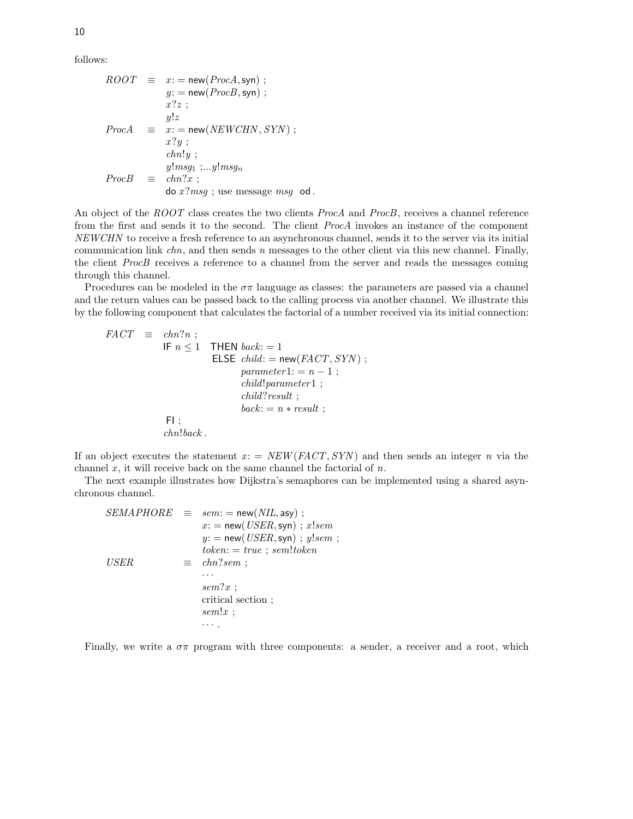follows:

$$
ROOT \equiv x := new(ProcA, syn) ;
$$
  
\n
$$
y := new(ProcB, syn) ;
$$
  
\n
$$
x?z ;
$$
  
\n
$$
ProcA \equiv x := new(NEWCHN, SYN) ;
$$
  
\n
$$
x?y ;
$$
  
\n
$$
chn!y ;
$$
  
\n
$$
ProcB \equiv chn?x ;
$$
  
\n
$$
do x?msg ; use message msg od.
$$

An object of the ROOT class creates the two clients ProcA and ProcB, receives a channel reference from the first and sends it to the second. The client ProcA invokes an instance of the component NEWCHN to receive a fresh reference to an asynchronous channel, sends it to the server via its initial communication link  $\text{chn}$ , and then sends n messages to the other client via this new channel. Finally, the client ProcB receives a reference to a channel from the server and reads the messages coming through this channel.

Procedures can be modeled in the  $\sigma\pi$  language as classes: the parameters are passed via a channel and the return values can be passed back to the calling process via another channel. We illustrate this by the following component that calculates the factorial of a number received via its initial connection:

$$
FACT \equiv chn?n ;
$$
\n
$$
IF \space n \leq 1 \quad THEN \space back := 1
$$
\n
$$
ELSE \space child := new(FACT, SYN) ;
$$
\n
$$
parameter1 := n - 1 ;
$$
\n
$$
child!parameter1 ;
$$
\n
$$
child?result ;
$$
\n
$$
back := n * result ;
$$
\n
$$
f1 ;
$$
\n
$$
ch1back .
$$

If an object executes the statement  $x = NEW(FACT, SYN)$  and then sends an integer n via the channel  $x$ , it will receive back on the same channel the factorial of  $n$ .

The next example illustrates how Dijkstra's semaphores can be implemented using a shared asynchronous channel.

| $SEMAPHORE$                              | = $sem := new(NIL, \text{asy})$ ; |
|------------------------------------------|-----------------------------------|
| $x := new(USER, \text{syn})$ ; $x!sem$ ; |                                   |
| $y := new(USER, \text{syn})$ ; $y!sem$ ; |                                   |
| $token := true$ ; $sem!token$            |                                   |
| $USER$                                   | = $chn?$ sem ;                    |
| $sem?$ x ;                               |                                   |
| $eritical section$ ;                     |                                   |
| $sem!x$ ;                                |                                   |
| $...$                                    |                                   |

Finally, we write a  $\sigma\pi$  program with three components: a sender, a receiver and a root, which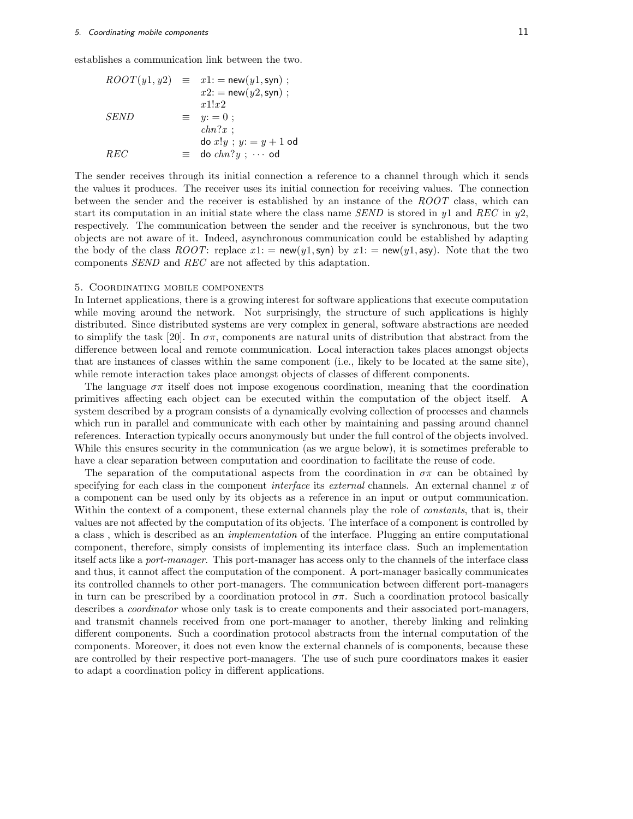establishes a communication link between the two.

$$
ROOT(y1, y2) \equiv x1 := new(y1, syn);
$$
  
\n
$$
x2 := new(y2, syn);
$$
  
\n
$$
x1!x2
$$
  
\n
$$
SEND \equiv y := 0;
$$
  
\n
$$
chn?x ;
$$
  
\n
$$
dec x!y ; y := y + 1 od
$$
  
\n
$$
REC \equiv do chn?y ; \cdots od
$$

The sender receives through its initial connection a reference to a channel through which it sends the values it produces. The receiver uses its initial connection for receiving values. The connection between the sender and the receiver is established by an instance of the ROOT class, which can start its computation in an initial state where the class name SEND is stored in y and REC in y 2, respectively. The communication between the sender and the receiver is synchronous, but the two objects are not aware of it. Indeed, asynchronous communication could be established by adapting the body of the class  $ROOT$ : replace  $x1$ : = new(y1, syn) by  $x1$ : = new(y1, asy). Note that the two components SEND and REC are not affected by this adaptation.

#### 5. Coordinating mobile components

In Internet applications, there is a growing interest for software applications that execute computation while moving around the network. Not surprisingly, the structure of such applications is highly distributed. Since distributed systems are very complex in general, software abstractions are needed to simplify the task [20]. In  $\sigma\pi$ , components are natural units of distribution that abstract from the difference between local and remote communication. Local interaction takes places amongst objects that are instances of classes within the same component (i.e., likely to be located at the same site), while remote interaction takes place amongst objects of classes of different components.

The language  $\sigma\pi$  itself does not impose exogenous coordination, meaning that the coordination primitives affecting each object can be executed within the computation of the object itself. A system described by a program consists of a dynamically evolving collection of processes and channels which run in parallel and communicate with each other by maintaining and passing around channel references. Interaction typically occurs anonymously but under the full control of the objects involved. While this ensures security in the communication (as we argue below), it is sometimes preferable to have a clear separation between computation and coordination to facilitate the reuse of code.

The separation of the computational aspects from the coordination in  $\sigma\pi$  can be obtained by specifying for each class in the component *interface* its *external* channels. An external channel x of a component can be used only by its objects as a reference in an input or output communication. Within the context of a component, these external channels play the role of *constants*, that is, their values are not affected by the computation of its objects. The interface of a component is controlled by a class , which is described as an implementation of the interface. Plugging an entire computational component, therefore, simply consists of implementing its interface class. Such an implementation itself acts like a port-manager. This port-manager has access only to the channels of the interface class and thus, it cannot affect the computation of the component. A port-manager basically communicates its controlled channels to other port-managers. The communication between different port-managers in turn can be prescribed by a coordination protocol in  $\sigma\pi$ . Such a coordination protocol basically describes a *coordinator* whose only task is to create components and their associated port-managers, and transmit channels received from one port-manager to another, thereby linking and relinking different components. Such a coordination protocol abstracts from the internal computation of the components. Moreover, it does not even know the external channels of is components, because these are controlled by their respective port-managers. The use of such pure coordinators makes it easier to adapt a coordination policy in different applications.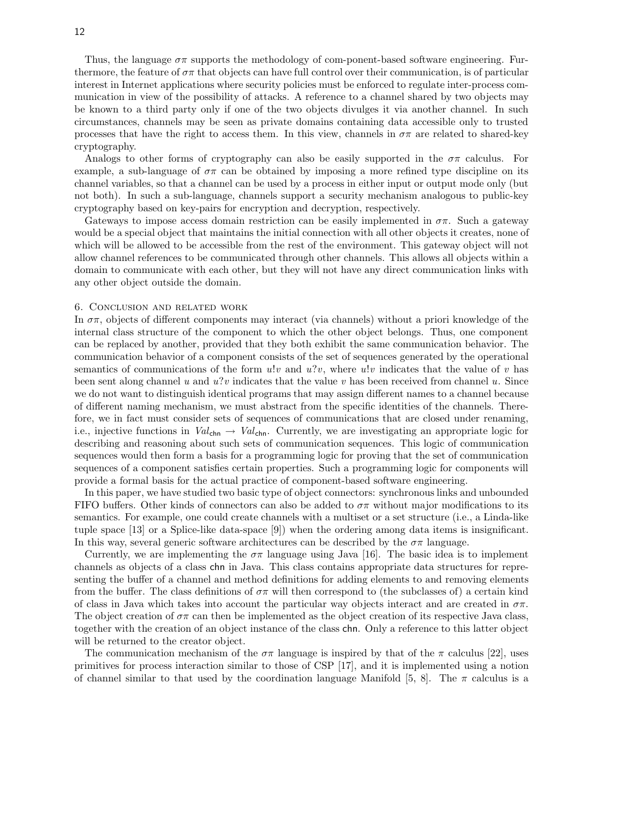Thus, the language  $\sigma\pi$  supports the methodology of com-ponent-based software engineering. Furthermore, the feature of  $\sigma\pi$  that objects can have full control over their communication, is of particular interest in Internet applications where security policies must be enforced to regulate inter-process communication in view of the possibility of attacks. A reference to a channel shared by two objects may be known to a third party only if one of the two objects divulges it via another channel. In such circumstances, channels may be seen as private domains containing data accessible only to trusted processes that have the right to access them. In this view, channels in  $\sigma\pi$  are related to shared-key cryptography.

Analogs to other forms of cryptography can also be easily supported in the  $\sigma\pi$  calculus. For example, a sub-language of  $\sigma\pi$  can be obtained by imposing a more refined type discipline on its channel variables, so that a channel can be used by a process in either input or output mode only (but not both). In such a sub-language, channels support a security mechanism analogous to public-key cryptography based on key-pairs for encryption and decryption, respectively.

Gateways to impose access domain restriction can be easily implemented in  $\sigma\pi$ . Such a gateway would be a special object that maintains the initial connection with all other objects it creates, none of which will be allowed to be accessible from the rest of the environment. This gateway object will not allow channel references to be communicated through other channels. This allows all objects within a domain to communicate with each other, but they will not have any direct communication links with any other object outside the domain.

# 6. Conclusion and related work

In  $\sigma\pi$ , objects of different components may interact (via channels) without a priori knowledge of the internal class structure of the component to which the other object belongs. Thus, one component can be replaced by another, provided that they both exhibit the same communication behavior. The communication behavior of a component consists of the set of sequences generated by the operational semantics of communications of the form  $u!v$  and  $u?v$ , where  $u!v$  indicates that the value of v has been sent along channel u and  $u$ ?v indicates that the value v has been received from channel u. Since we do not want to distinguish identical programs that may assign different names to a channel because of different naming mechanism, we must abstract from the specific identities of the channels. Therefore, we in fact must consider sets of sequences of communications that are closed under renaming, i.e., injective functions in  $Val_{\text{chn}} \rightarrow Val_{\text{chn}}$ . Currently, we are investigating an appropriate logic for describing and reasoning about such sets of communication sequences. This logic of communication sequences would then form a basis for a programming logic for proving that the set of communication sequences of a component satisfies certain properties. Such a programming logic for components will provide a formal basis for the actual practice of component-based software engineering.

In this paper, we have studied two basic type of object connectors: synchronous links and unbounded FIFO buffers. Other kinds of connectors can also be added to  $\sigma\pi$  without major modifications to its semantics. For example, one could create channels with a multiset or a set structure (i.e., a Linda-like tuple space [13] or a Splice-like data-space [9]) when the ordering among data items is insignificant. In this way, several generic software architectures can be described by the  $\sigma\pi$  language.

Currently, we are implementing the  $\sigma \pi$  language using Java [16]. The basic idea is to implement channels as objects of a class chn in Java. This class contains appropriate data structures for representing the buffer of a channel and method definitions for adding elements to and removing elements from the buffer. The class definitions of  $\sigma\pi$  will then correspond to (the subclasses of) a certain kind of class in Java which takes into account the particular way objects interact and are created in  $\sigma\pi$ . The object creation of  $\sigma\pi$  can then be implemented as the object creation of its respective Java class, together with the creation of an object instance of the class chn. Only a reference to this latter object will be returned to the creator object.

The communication mechanism of the  $\sigma \pi$  language is inspired by that of the  $\pi$  calculus [22], uses primitives for process interaction similar to those of CSP [17], and it is implemented using a notion of channel similar to that used by the coordination language Manifold [5, 8]. The  $\pi$  calculus is a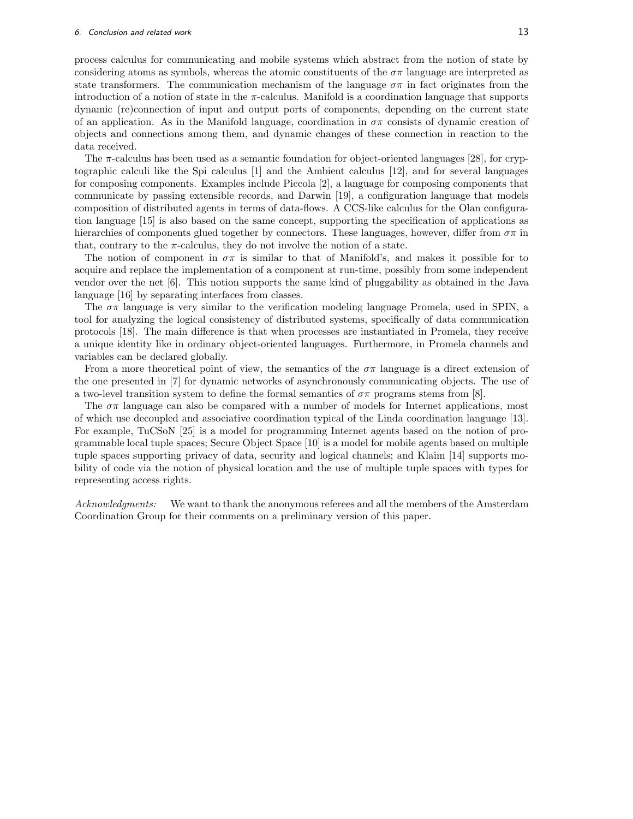# 6. Conclusion and related work  $13$

process calculus for communicating and mobile systems which abstract from the notion of state by considering atoms as symbols, whereas the atomic constituents of the  $\sigma\pi$  language are interpreted as state transformers. The communication mechanism of the language  $\sigma\pi$  in fact originates from the introduction of a notion of state in the  $\pi$ -calculus. Manifold is a coordination language that supports dynamic (re)connection of input and output ports of components, depending on the current state of an application. As in the Manifold language, coordination in  $\sigma\pi$  consists of dynamic creation of objects and connections among them, and dynamic changes of these connection in reaction to the data received.

The  $\pi$ -calculus has been used as a semantic foundation for object-oriented languages [28], for cryptographic calculi like the Spi calculus [1] and the Ambient calculus [12], and for several languages for composing components. Examples include Piccola [2], a language for composing components that communicate by passing extensible records, and Darwin [19], a configuration language that models composition of distributed agents in terms of data-flows. A CCS-like calculus for the Olan configuration language [15] is also based on the same concept, supporting the specification of applications as hierarchies of components glued together by connectors. These languages, however, differ from  $\sigma\pi$  in that, contrary to the  $\pi$ -calculus, they do not involve the notion of a state.

The notion of component in  $\sigma\pi$  is similar to that of Manifold's, and makes it possible for to acquire and replace the implementation of a component at run-time, possibly from some independent vendor over the net [6]. This notion supports the same kind of pluggability as obtained in the Java language [16] by separating interfaces from classes.

The  $\sigma\pi$  language is very similar to the verification modeling language Promela, used in SPIN, a tool for analyzing the logical consistency of distributed systems, specifically of data communication protocols [18]. The main difference is that when processes are instantiated in Promela, they receive a unique identity like in ordinary object-oriented languages. Furthermore, in Promela channels and variables can be declared globally.

From a more theoretical point of view, the semantics of the  $\sigma\pi$  language is a direct extension of the one presented in [7] for dynamic networks of asynchronously communicating objects. The use of a two-level transition system to define the formal semantics of  $\sigma\pi$  programs stems from [8].

The  $\sigma\pi$  language can also be compared with a number of models for Internet applications, most of which use decoupled and associative coordination typical of the Linda coordination language [13]. For example, TuCSoN [25] is a model for programming Internet agents based on the notion of programmable local tuple spaces; Secure Object Space [10] is a model for mobile agents based on multiple tuple spaces supporting privacy of data, security and logical channels; and Klaim [14] supports mobility of code via the notion of physical location and the use of multiple tuple spaces with types for representing access rights.

Acknowledgments: We want to thank the anonymous referees and all the members of the Amsterdam Coordination Group for their comments on a preliminary version of this paper.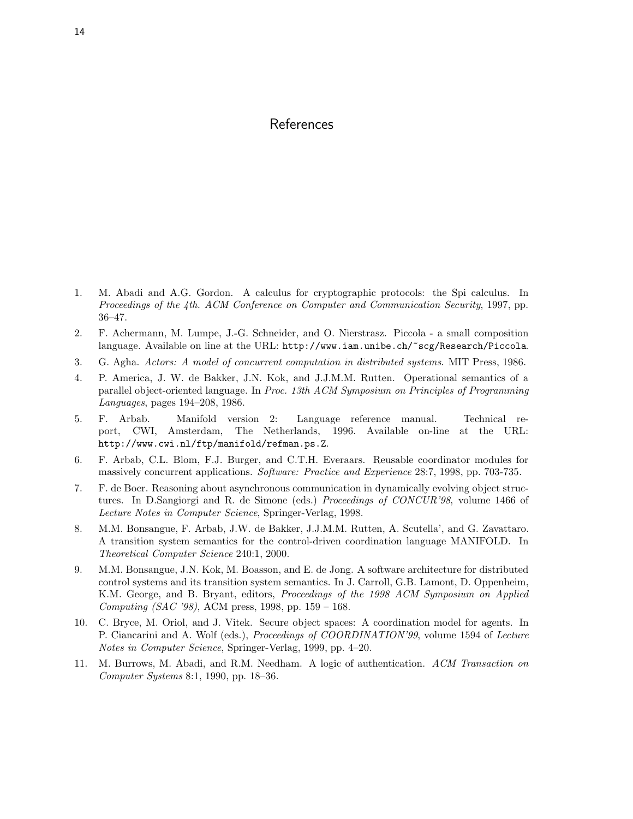# References

- 1. M. Abadi and A.G. Gordon. A calculus for cryptographic protocols: the Spi calculus. In Proceedings of the 4th. ACM Conference on Computer and Communication Security, 1997, pp. 36–47.
- 2. F. Achermann, M. Lumpe, J.-G. Schneider, and O. Nierstrasz. Piccola a small composition language. Available on line at the URL: http://www.iam.unibe.ch/~scg/Research/Piccola.
- 3. G. Agha. Actors: A model of concurrent computation in distributed systems. MIT Press, 1986.
- 4. P. America, J. W. de Bakker, J.N. Kok, and J.J.M.M. Rutten. Operational semantics of a parallel object-oriented language. In Proc. 13th ACM Symposium on Principles of Programming Languages, pages 194–208, 1986.
- 5. F. Arbab. Manifold version 2: Language reference manual. Technical report, CWI, Amsterdam, The Netherlands, 1996. Available on-line at the URL: http://www.cwi.nl/ftp/manifold/refman.ps.Z.
- 6. F. Arbab, C.L. Blom, F.J. Burger, and C.T.H. Everaars. Reusable coordinator modules for massively concurrent applications. Software: Practice and Experience 28:7, 1998, pp. 703-735.
- 7. F. de Boer. Reasoning about asynchronous communication in dynamically evolving object structures. In D.Sangiorgi and R. de Simone (eds.) Proceedings of CONCUR'98, volume 1466 of Lecture Notes in Computer Science, Springer-Verlag, 1998.
- 8. M.M. Bonsangue, F. Arbab, J.W. de Bakker, J.J.M.M. Rutten, A. Scutella', and G. Zavattaro. A transition system semantics for the control-driven coordination language MANIFOLD. In Theoretical Computer Science 240:1, 2000.
- 9. M.M. Bonsangue, J.N. Kok, M. Boasson, and E. de Jong. A software architecture for distributed control systems and its transition system semantics. In J. Carroll, G.B. Lamont, D. Oppenheim, K.M. George, and B. Bryant, editors, *Proceedings of the 1998 ACM Symposium on Applied* Computing (SAC '98), ACM press, 1998, pp. 159 – 168.
- 10. C. Bryce, M. Oriol, and J. Vitek. Secure object spaces: A coordination model for agents. In P. Ciancarini and A. Wolf (eds.), Proceedings of COORDINATION'99, volume 1594 of Lecture Notes in Computer Science, Springer-Verlag, 1999, pp. 4–20.
- 11. M. Burrows, M. Abadi, and R.M. Needham. A logic of authentication. ACM Transaction on Computer Systems 8:1, 1990, pp. 18–36.